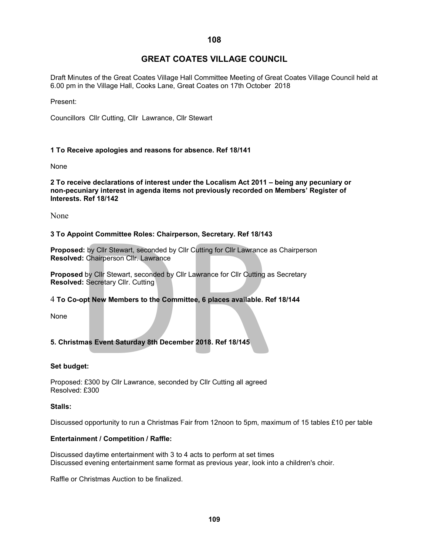# **GREAT COATES VILLAGE COUNCIL**

Draft Minutes of the Great Coates Village Hall Committee Meeting of Great Coates Village Council held at 6.00 pm in the Village Hall, Cooks Lane, Great Coates on 17th October 2018

Present:

Councillors Cllr Cutting, Cllr Lawrance, Cllr Stewart

## **1 To Receive apologies and reasons for absence. Ref 18/141**

None

**2 To receive declarations of interest under the Localism Act 2011 – being any pecuniary or non-pecuniary interest in agenda items not previously recorded on Members' Register of Interests. Ref 18/142**

None

#### **3 To Appoint Committee Roles: Chairperson, Secretary. Ref 18/143**

**Proposed:** by Cllr Stewart, seconded by Cllr Cutting for Cllr Lawrance as Chairperson **Resolved:** Chairperson Cllr. Lawrance

point Committee Roles: Chairperson, Secretary. Ref 18/143<br>ed: by Cllr Stewart, seconded by Cllr Cutting for Cllr Lawrance as<br>ed: Chairperson Cllr. Lawrance<br>ed by Cllr Stewart, seconded by Cllr Lawrance for Cllr Cutting as<br> **Proposed** by Cllr Stewart, seconded by Cllr Lawrance for Cllr Cutting as Secretary **Resolved:** Secretary Cllr. Cutting

## 4 **To Co-opt New Members to the Committee, 6 places available. Ref 18/144**

None

## **5. Christmas Event Saturday 8th December 2018. Ref 18/145**

#### **Set budget:**

Proposed: £300 by Cllr Lawrance, seconded by Cllr Cutting all agreed Resolved: £300

## **Stalls:**

Discussed opportunity to run a Christmas Fair from 12noon to 5pm, maximum of 15 tables £10 per table

#### **Entertainment / Competition / Raffle:**

Discussed daytime entertainment with 3 to 4 acts to perform at set times Discussed evening entertainment same format as previous year, look into a children's choir.

Raffle or Christmas Auction to be finalized.